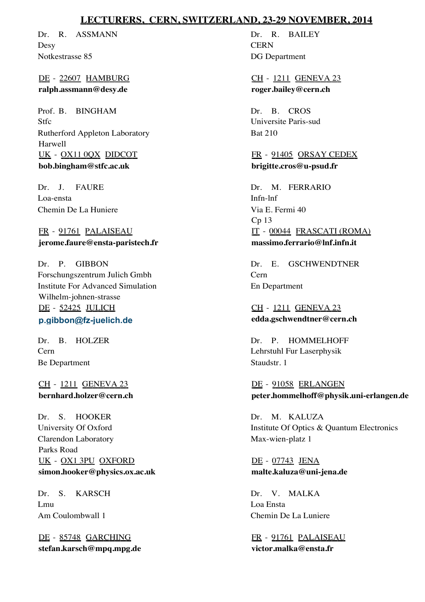## **LECTURERS, CERN, SWITZERLAND, 23-29 NOVEMBER, 2014**

Dr. R. ASSMANN **Desy** Notkestrasse 85

DE - 22607 HAMBURG **ralph.assmann@desy.de**

Prof. B. BINGHAM Stfc Harwell Rutherford Appleton Laboratory UK - OX11 0QX DIDCOT **bob.bingham@stfc.ac.uk**

Dr. J. FAURE Loa-ensta Chemin De La Huniere

FR - 91761 PALAISEAU **jerome.faure@ensta-paristech.fr**

Dr. P. GIBBON Forschungszentrum Julich Gmbh Wilhelm-johnen-strasse Institute For Advanced Simulation DE - 52425 JULICH **p.gibbon@fz-juelich.de**

Dr. B. HOLZER Cern Be Department

CH - 1211 GENEVA 23 **bernhard.holzer@cern.ch**

Dr. S. HOOKER University Of Oxford Parks Road Clarendon Laboratory UK - OX1 3PU OXFORD **simon.hooker@physics.ox.ac.uk**

Dr. S. KARSCH Lmu Am Coulombwall 1

DE - 85748 GARCHING **stefan.karsch@mpq.mpg.de**

Dr. R. BAILEY **CERN** DG Department

CH - 1211 GENEVA 23 **roger.bailey@cern.ch**

Dr. B. CROS Universite Paris-sud Bat 210

FR - 91405 ORSAY CEDEX **brigitte.cros@u-psud.fr**

Dr. M. FERRARIO Infn-lnf Cp 13 Via E. Fermi 40 IT - 00044 FRASCATI (ROMA) **massimo.ferrario@lnf.infn.it**

Dr. E. GSCHWENDTNER Cern En Department

CH - 1211 GENEVA 23 **edda.gschwendtner@cern.ch**

Dr. P. HOMMELHOFF Lehrstuhl Fur Laserphysik Staudstr. 1

DE - 91058 ERLANGEN **peter.hommelhoff@physik.uni-erlangen.de**

Dr. M. KALUZA Institute Of Optics & Quantum Electronics Max-wien-platz 1

DE - 07743 JENA **malte.kaluza@uni-jena.de**

Dr. V. MALKA Loa Ensta Chemin De La Luniere

FR - 91761 PALAISEAU **victor.malka@ensta.fr**